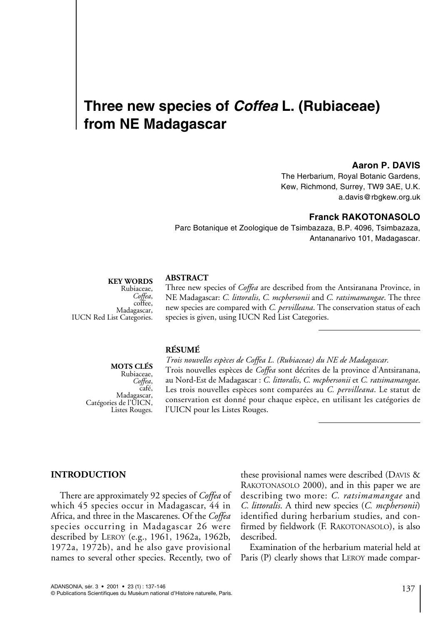# **Three new species of** *Coffea* **L. (Rubiaceae) from NE Madagascar**

### **Aaron P. DAVIS**

The Herbarium, Royal Botanic Gardens, Kew, Richmond, Surrey, TW9 3AE, U.K. a.davis@rbgkew.org.uk

# **Franck RAKOTONASOLO**

Parc Botanique et Zoologique de Tsimbazaza, B.P. 4096, Tsimbazaza, Antananarivo 101, Madagascar.

#### **KEY WORDS**

Rubiaceae, *Coffea*,<br>coffee,<br>Madagascar, **IUCN** Red List Categories.

#### **ABSTRACT**

Three new species of *Coffea* are described from the Antsiranana Province, in NE Madagascar: *C. littoralis*, *C. mcphersonii* and *C. ratsimamangae*. The three new species are compared with *C. pervilleana*. The conservation status of each species is given, using IUCN Red List Categories.

# **RÉSUMÉ**

**MOTS CLÉS** Rubiaceae, *Coffea*,<br>,café,<br>,Madagascar Catégories de l'UICN, Listes Rouges.

*Trois nouvelles espèces de Coffea L. (Rubiaceae) du NE de Madagascar.* Trois nouvelles espèces de *Coffea* sont décrites de la province d'Antsiranana, au Nord-Est de Madagascar : *C. littoralis*, *C. mcphersonii* et *C. ratsimamangae*. Les trois nouvelles espèces sont comparées au *C. pervilleana*. Le statut de conservation est donné pour chaque espèce, en utilisant les catégories de l'UICN pour les Listes Rouges.

#### **INTRODUCTION**

There are approximately 92 species of *Coffea* of which 45 species occur in Madagascar, 44 in Africa, and three in the Mascarenes. Of the *Coffea* species occurring in Madagascar 26 were described by LEROY (e.g., 1961, 1962a, 1962b, 1972a, 1972b), and he also gave provisional names to several other species. Recently, two of these provisional names were described (DAVIS & RAKOTONASOLO 2000), and in this paper we are describing two more: *C. ratsimamangae* and *C. littoralis*. A third new species (*C. mcphersonii*) identified during herbarium studies, and confirmed by fieldwork (F. RAKOTONASOLO), is also described.

Examination of the herbarium material held at Paris (P) clearly shows that LEROY made compar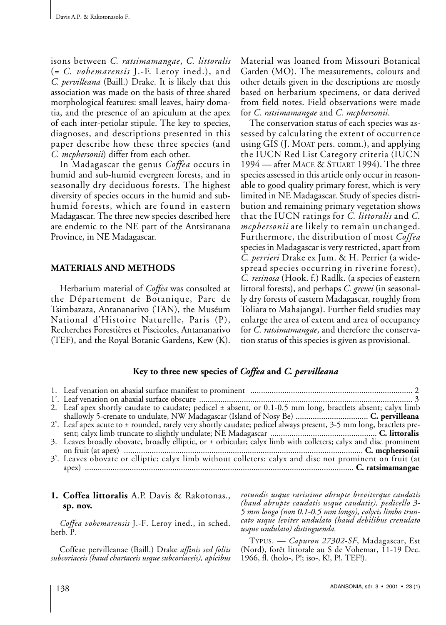isons between *C. ratsimamangae*, *C. littoralis* (= *C. vohemarensis* J.-F. Leroy ined.), and *C. pervilleana* (Baill.) Drake. It is likely that this association was made on the basis of three shared morphological features: small leaves, hairy domatia, and the presence of an apiculum at the apex of each inter-petiolar stipule. The key to species, diagnoses, and descriptions presented in this paper describe how these three species (and *C. mcphersonii*) differ from each other.

In Madagascar the genus *Coffea* occurs in humid and sub-humid evergreen forests, and in seasonally dry deciduous forests. The highest diversity of species occurs in the humid and subhumid forests, which are found in eastern Madagascar. The three new species described here are endemic to the NE part of the Antsiranana Province, in NE Madagascar.

# **MATERIALS AND METHODS**

Herbarium material of *Coffea* was consulted at the Département de Botanique, Parc de Tsimbazaza, Antananarivo (TAN), the Muséum National d'Histoire Naturelle, Paris (P), Recherches Forestières et Piscicoles, Antananarivo (TEF), and the Royal Botanic Gardens, Kew (K). Material was loaned from Missouri Botanical Garden (MO). The measurements, colours and other details given in the descriptions are mostly based on herbarium specimens, or data derived from field notes. Field observations were made for *C. ratsimamangae* and *C. mcphersonii*.

The conservation status of each species was assessed by calculating the extent of occurrence using GIS (J. MOAT pers. comm.), and applying the IUCN Red List Category criteria (IUCN 1994 — after MACE & STUART 1994). The three species assessed in this article only occur in reasonable to good quality primary forest, which is very limited in NE Madagascar. Study of species distribution and remaining primary vegetation shows that the IUCN ratings for *C. littoralis* and *C. mcphersonii* are likely to remain unchanged. Furthermore, the distribution of most *Coffea* species in Madagascar is very restricted, apart from *C. perrieri* Drake ex Jum. & H. Perrier (a widespread species occurring in riverine forest), *C. resinosa* (Hook. f.) Radlk. (a species of eastern littoral forests), and perhaps *C. grevei* (in seasonally dry forests of eastern Madagascar, roughly from Toliara to Mahajanga). Further field studies may enlarge the area of extent and area of occupancy for *C. ratsimamangae*, and therefore the conservation status of this species is given as provisional.

# **Key to three new species of** *Coffea* **and** *C. pervilleana*

| 2. Leaf apex shortly caudate to caudate; pedicel ± absent, or 0.1-0.5 mm long, bractlets absent; calyx limb        |
|--------------------------------------------------------------------------------------------------------------------|
|                                                                                                                    |
| 2'. Leaf apex acute to ± rounded, rarely very shortly caudate; pedicel always present, 3-5 mm long, bractlets pre- |
|                                                                                                                    |
| 3. Leaves broadly obovate, broadly elliptic, or ± orbicular; calyx limb with colleters; calyx and disc prominent   |
|                                                                                                                    |
| 3'. Leaves obovate or elliptic; calyx limb without colleters; calyx and disc not prominent on fruit (at            |
|                                                                                                                    |

# **1. Coffea littoralis** A.P. Davis & Rakotonas., **sp. nov.**

*Coffea vohemarensis* J.-F. Leroy ined., in sched. herb. P.

Coffeae pervilleanae (Baill.) Drake *affinis sed foliis subcoriaceis (haud chartaceis usque subcoriaceis), apicibus* *rotundis usque rarissime abrupte breviterque caudatis (haud abrupte caudatis usque caudatis), pedicello 3- 5 mm longo (non 0.1-0.5 mm longo), calycis limbo truncato usque leviter undulato (haud debilibus crenulato usque undulato) distinguenda.*

TYPUS. — *Capuron 27302-SF*, Madagascar, Est (Nord), forêt littorale au S de Vohemar, 11-19 Dec. 1966, fl. (holo-, P!; iso-, K!, P!, TEF!).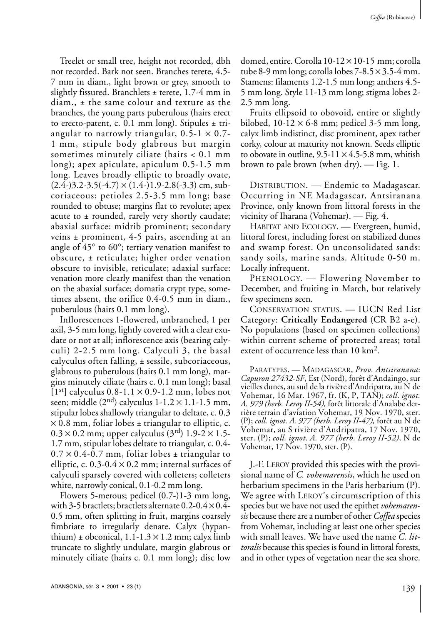Treelet or small tree, height not recorded, dbh not recorded. Bark not seen. Branches terete, 4.5- 7 mm in diam., light brown or grey, smooth to slightly fissured. Branchlets  $\pm$  terete, 1.7-4 mm in diam., ± the same colour and texture as the branches, the young parts puberulous (hairs erect to erecto-patent, c. 0.1 mm long). Stipules ± triangular to narrowly triangular,  $0.5-1 \times 0.7$ -1 mm, stipule body glabrous but margin sometimes minutely ciliate (hairs < 0.1 mm long); apex apiculate, apiculum 0.5-1.5 mm long. Leaves broadly elliptic to broadly ovate,  $(2.4-)3.2-3.5(-4.7) \times (1.4-)1.9-2.8(-3.3)$  cm, subcoriaceous; petioles 2.5-3.5 mm long; base rounded to obtuse; margins flat to revolute; apex acute to  $\pm$  rounded, rarely very shortly caudate; abaxial surface: midrib prominent; secondary veins ± prominent, 4-5 pairs, ascending at an angle of 45° to 60°; tertiary venation manifest to obscure, ± reticulate; higher order venation obscure to invisible, reticulate; adaxial surface: venation more clearly manifest than the venation on the abaxial surface; domatia crypt type, sometimes absent, the orifice 0.4-0.5 mm in diam., puberulous (hairs 0.1 mm long).

Inflorescences 1-flowered, unbranched, 1 per axil, 3-5 mm long, lightly covered with a clear exudate or not at all; inflorescence axis (bearing calyculi) 2-2.5 mm long. Calyculi 3, the basal calyculus often falling, ± sessile, subcoriaceous, glabrous to puberulous (hairs 0.1 mm long), margins minutely ciliate (hairs c. 0.1 mm long); basal  $[1<sup>st</sup>]$  calyculus 0.8-1.1  $\times$  0.9-1.2 mm, lobes not seen; middle  $(2<sup>nd</sup>)$  calyculus 1-1.2  $\times$  1.1-1.5 mm, stipular lobes shallowly triangular to deltate, c. 0.3  $\times$  0.8 mm, foliar lobes  $\pm$  triangular to elliptic, c.  $0.3 \times 0.2$  mm; upper calyculus (3<sup>rd</sup>) 1.9-2  $\times$  1.5-1.7 mm, stipular lobes deltate to triangular, c. 0.4-  $0.7 \times 0.4$ -0.7 mm, foliar lobes  $\pm$  triangular to elliptic, c.  $0.3$ - $0.4 \times 0.2$  mm; internal surfaces of calyculi sparsely covered with colleters; colleters white, narrowly conical, 0.1-0.2 mm long.

Flowers 5-merous; pedicel (0.7-)1-3 mm long, with 3-5 bractlets; bractlets alternate  $0.2$ - $0.4 \times 0.4$ -0.5 mm, often splitting in fruit, margins coarsely fimbriate to irregularly denate. Calyx (hypanthium)  $\pm$  obconical, 1.1-1.3  $\times$  1.2 mm; calyx limb truncate to slightly undulate, margin glabrous or minutely ciliate (hairs c. 0.1 mm long); disc low

domed, entire. Corolla 10-12 × 10-15 mm; corolla tube 8-9 mm long; corolla lobes  $7-8.5 \times 3.5-4$  mm. Stamens: filaments 1.2-1.5 mm long; anthers 4.5- 5 mm long. Style 11-13 mm long; stigma lobes 2- 2.5 mm long.

Fruits ellipsoid to obovoid, entire or slightly bilobed,  $10-12 \times 6-8$  mm; pedicel 3-5 mm long, calyx limb indistinct, disc prominent, apex rather corky, colour at maturity not known. Seeds elliptic to obovate in outline,  $9.5-11 \times 4.5-5.8$  mm, whitish brown to pale brown (when dry). — Fig. 1.

DISTRIBUTION. — Endemic to Madagascar. Occurring in NE Madagascar, Antsiranana Province, only known from littoral forests in the vicinity of Iharana (Vohemar). — Fig. 4.

HABITAT AND ECOLOGY. — Evergreen, humid, littoral forest, including forest on stabilized dunes and swamp forest. On unconsolidated sands: sandy soils, marine sands. Altitude 0-50 m. Locally infrequent.

PHENOLOGY. — Flowering November to December, and fruiting in March, but relatively few specimens seen.

CONSERVATION STATUS. — IUCN Red List Category: **Critically Endangered** (CR B2 a-e). No populations (based on specimen collections) within current scheme of protected areas; total extent of occurrence less than 10 km2.

PARATYPES.—MADAGASCAR, *Prov. Antsiranana*: *Capuron 27432*-*SF*, Est (Nord), forêt d'Andaingo, sur vieilles dunes, au sud de la rivière d'Andripatra, au N de Vohemar, 16 Mar. 1967, fr. (K, P, TAN); *coll*. *ignot. A. 979 (herb. Leroy II-54),* forêt littorale d'Analabe derrière terrain d'aviation Vohemar, 19 Nov. 1970, ster. (P); *coll. ignot*. *A. 977 (herb. Leroy II-47),* forêt au N de Vohemar, au S rivière d'Andripatra, 17 Nov. 1970, ster. (P); *coll. ignot*. *A. 977 (herb. Leroy II-52),* N de Vohemar, 17 Nov. 1970, ster. (P).

J.-F. LEROY provided this species with the provisional name of *C. vohemarensis*, which he used on herbarium specimens in the Paris herbarium (P). We agree with LEROY's circumscription of this species but we have not used the epithet *vohemarensis* because there are a number of other *Coffea* species from Vohemar, including at least one other species with small leaves. We have used the name *C. littoralis* because this species is found in littoral forests, and in other types of vegetation near the sea shore.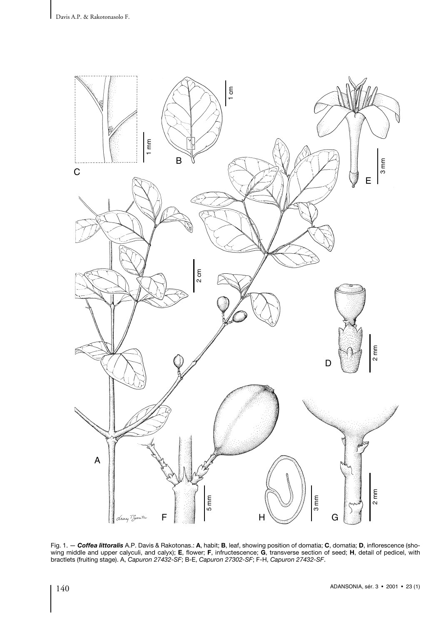

Fig. 1. — *Coffea littoralis* A.P. Davis & Rakotonas.: **A**, habit; **B**, leaf, showing position of domatia; **C**, domatia; **D**, inflorescence (showing middle and upper calyculi, and calyx); **E**, flower; **F**, infructescence; **G**, transverse section of seed; **H**, detail of pedicel, with bractlets (fruiting stage). A, *Capuron 27432-SF*; B-E, *Capuron 27302-SF*; F-H, *Capuron 27432-SF*.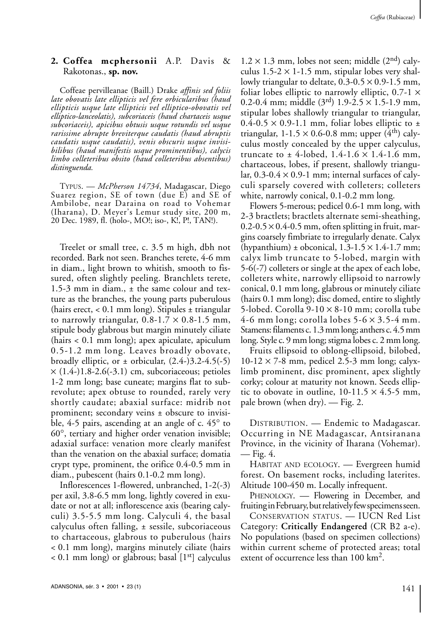# **2. Coffea mcphersonii** A.P. Davis & Rakotonas., **sp. nov.**

Coffeae pervilleanae (Baill.) Drake *affinis sed foliis late obovatis late ellipticis vel fere orbicularibus (haud ellipticis usque late ellipticis vel elliptico-obovatis vel elliptico-lanceolatis), subcoriaceis (haud chartaceis usque subcoriaceis), apicibus obtusis usque rotundis vel usque rarissime abrupte breviterque caudatis (haud abruptis caudatis usque caudatis), venis obscuris usque invisibilibus (haud manifestis usque prominentibus), calycis limbo colleteribus obsito (haud colleteribus absentibus) distinguenda.*

TYPUS. — *McPherson 14734*, Madagascar, Diego Suarez region, SE of town (due E) and SE of Ambilobe, near Daraina on road to Vohemar (Iharana), D. Meyer's Lemur study site, 200 m, 20 Dec. 1989, fl. (holo-, MO!; iso-, K!, P!, TAN!).

Treelet or small tree, c. 3.5 m high, dbh not recorded. Bark not seen. Branches terete, 4-6 mm in diam., light brown to whitish, smooth to fissured, often slightly peeling. Branchlets terete, 1.5-3 mm in diam., ± the same colour and texture as the branches, the young parts puberulous (hairs erect,  $< 0.1$  mm long). Stipules  $\pm$  triangular to narrowly triangular,  $0.8-1.7 \times 0.8-1.5$  mm, stipule body glabrous but margin minutely ciliate (hairs < 0.1 mm long); apex apiculate, apiculum 0.5-1.2 mm long. Leaves broadly obovate, broadly elliptic, or  $\pm$  orbicular, (2.4-)3.2-4.5(-5)  $\times$  (1.4-)1.8-2.6(-3.1) cm, subcoriaceous; petioles 1-2 mm long; base cuneate; margins flat to subrevolute; apex obtuse to rounded, rarely very shortly caudate; abaxial surface: midrib not prominent; secondary veins ± obscure to invisible, 4-5 pairs, ascending at an angle of c. 45° to 60°, tertiary and higher order venation invisible; adaxial surface: venation more clearly manifest than the venation on the abaxial surface; domatia crypt type, prominent, the orifice 0.4-0.5 mm in diam., pubescent (hairs 0.1-0.2 mm long).

Inflorescences 1-flowered, unbranched, 1-2(-3) per axil, 3.8-6.5 mm long, lightly covered in exudate or not at all; inflorescence axis (bearing calyculi) 3.5-5.5 mm long. Calyculi 4, the basal calyculus often falling, ± sessile, subcoriaceous to chartaceous, glabrous to puberulous (hairs < 0.1 mm long), margins minutely ciliate (hairs  $< 0.1$  mm long) or glabrous; basal  $[1<sup>st</sup>]$  calyculus  $1.2 \times 1.3$  mm, lobes not seen; middle  $(2<sup>nd</sup>)$  calyculus  $1.5-2 \times 1-1.5$  mm, stipular lobes very shallowly triangular to deltate,  $0.3{\text -}0.5 \times 0.9{\text -}1.5$  mm, foliar lobes elliptic to narrowly elliptic,  $0.7-1 \times$ 0.2-0.4 mm; middle  $(3<sup>rd</sup>)$  1.9-2.5  $\times$  1.5-1.9 mm, stipular lobes shallowly triangular to triangular,  $0.4$ -0.5  $\times$  0.9-1.1 mm, foliar lobes elliptic to  $\pm$ triangular,  $1-1.5 \times 0.6-0.8$  mm; upper (4<sup>th</sup>) calyculus mostly concealed by the upper calyculus, truncate to  $\pm$  4-lobed, 1.4-1.6  $\times$  1.4-1.6 mm, chartaceous, lobes, if present, shallowly triangular,  $0.3{\text -}0.4 \times 0.9{\text -}1$  mm; internal surfaces of calyculi sparsely covered with colleters; colleters white, narrowly conical, 0.1-0.2 mm long.

Flowers 5-merous; pedicel 0.6-1 mm long, with 2-3 bractlets; bractlets alternate semi-sheathing,  $0.2$ -0.5  $\times$  0.4-0.5 mm, often splitting in fruit, margins coarsely fimbriate to irregularly denate. Calyx (hypanthium)  $\pm$  obconical, 1.3-1.5  $\times$  1.4-1.7 mm; calyx limb truncate to 5-lobed, margin with 5-6(-7) colleters or single at the apex of each lobe, colleters white, narrowly ellipsoid to narrowly conical, 0.1 mm long, glabrous or minutely ciliate (hairs 0.1 mm long); disc domed, entire to slightly 5-lobed. Corolla 9-10 × 8-10 mm; corolla tube 4-6 mm long; corolla lobes  $5-6 \times 3.5-4$  mm. Stamens: filaments c. 1.3 mm long; anthers c. 4.5 mm long. Style c. 9 mm long; stigma lobes c. 2 mm long.

Fruits ellipsoid to oblong-ellipsoid, bilobed,  $10-12 \times 7-8$  mm, pedicel 2.5-3 mm long; calyxlimb prominent, disc prominent, apex slightly corky; colour at maturity not known. Seeds elliptic to obovate in outline,  $10-11.5 \times 4.5-5$  mm, pale brown (when dry). — Fig. 2.

DISTRIBUTION. — Endemic to Madagascar. Occurring in NE Madagascar, Antsiranana Province, in the vicinity of Iharana (Vohemar). — Fig. 4.

HABITAT AND ECOLOGY. — Evergreen humid forest. On basement rocks, including laterites. Altitude 100-450 m. Locally infrequent.

PHENOLOGY. — Flowering in December, and fruiting in February, but relatively few specimens seen.

CONSERVATION STATUS. — IUCN Red List Category: **Critically Endangered** (CR B2 a-e). No populations (based on specimen collections) within current scheme of protected areas; total extent of occurrence less than 100 km<sup>2</sup>.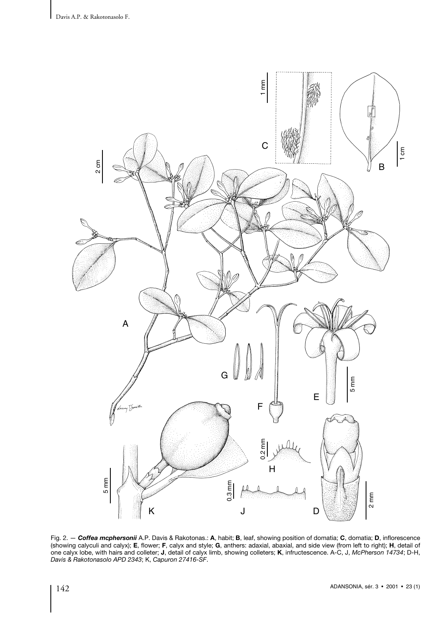

Fig. 2. — *Coffea mcphersonii* A.P. Davis & Rakotonas.: **A**, habit; **B**, leaf, showing position of domatia; **C**, domatia; **D**, inflorescence (showing calyculi and calyx); **E**, flower; **F**, calyx and style; **G**, anthers: adaxial, abaxial, and side view (from left to right); **H**, detail of one calyx lobe, with hairs and colleter; **J**, detail of calyx limb, showing colleters; **K**, infructescence. A-C, J, *McPherson 14734*; D-H,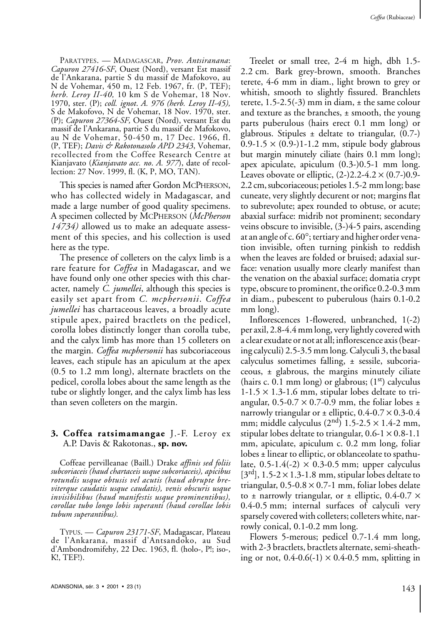PARATYPES. - MADAGASCAR, *Prov. Antsiranana*: *Capuron 27416-SF*, Ouest (Nord), versant Est massif de l'Ankarana, partie S du massif de Mafokovo, au N de Vohemar, 450 m, 12 Feb. 1967, fr. (P, TEF); *herb. Leroy II-40,* 10 km S de Vohemar, 18 Nov. 1970, ster. (P); *coll. ignot*. *A. 976 (herb. Leroy II-45),* S de Makofovo, N de Vohemar, 18 Nov. 1970, ster. (P); *Capuron 27364-SF,* Ouest (Nord), versant Est du massif de l'Ankarana, partie S du massif de Mafokovo, au N de Vohemar, 50-450 m, 17 Dec. 1966, fl. (P, TEF); *Davis & Rakotonasolo APD 2343*, Vohemar, recollected from the Coffee Research Centre at Kianjavato (*Kianjavato acc. no*. *A. 977*), date of recollection: 27 Nov. 1999, fl. (K, P, MO, TAN).

This species is named after Gordon MCPHERSON, who has collected widely in Madagascar, and made a large number of good quality specimens. A specimen collected by MCPHERSON (*McPherson 14734)* allowed us to make an adequate assessment of this species, and his collection is used here as the type.

The presence of colleters on the calyx limb is a rare feature for *Coffea* in Madagascar, and we have found only one other species with this character, namely *C. jumellei*, although this species is easily set apart from *C. mcphersonii*. *Coffea jumellei* has chartaceous leaves, a broadly acute stipule apex, paired bractlets on the pedicel, corolla lobes distinctly longer than corolla tube, and the calyx limb has more than 15 colleters on the margin. *Coffea mcphersonii* has subcoriaceous leaves, each stipule has an apiculum at the apex (0.5 to 1.2 mm long), alternate bractlets on the pedicel, corolla lobes about the same length as the tube or slightly longer, and the calyx limb has less than seven colleters on the margin.

### **3. Coffea ratsimamangae** J.-F. Leroy ex A.P. Davis & Rakotonas., **sp. nov.**

Coffeae pervilleanae (Baill.) Drake *affinis sed foliis subcoriaceis (haud chartaceis usque subcoriaceis), apicibus rotundis usque obtusis vel acutis (haud abrupte breviterque caudatis usque caudatis), venis obscuris usque invisibilibus (haud manifestis usque prominentibus), corollae tubo longo lobis superanti (haud corollae lobis tubum superantibus).*

TYPUS. — *Capuron 23171-SF*, Madagascar, Plateau de l'Ankarana, massif d'Antsandoko, au Sud d'Ambondromifehy, 22 Dec. 1963, fl. (holo-, P!; iso-, K!, TEF!).

Treelet or small tree, 2-4 m high, dbh 1.5- 2.2 cm. Bark grey-brown, smooth. Branches terete, 4-6 mm in diam., light brown to grey or whitish, smooth to slightly fissured. Branchlets terete,  $1.5-2.5(-3)$  mm in diam,  $\pm$  the same colour and texture as the branches, ± smooth, the young parts puberulous (hairs erect 0.1 mm long) or glabrous. Stipules  $\pm$  deltate to triangular, (0.7-)  $0.9-1.5 \times (0.9-11.2 \text{ mm}, \text{ stipule body glabrous})$ but margin minutely ciliate (hairs 0.1 mm long); apex apiculate, apiculum (0.3-)0.5-1 mm long. Leaves obovate or elliptic,  $(2-)2.2-4.2 \times (0.7-)0.9-$ 2.2 cm, subcoriaceous; petioles 1.5-2 mmlong; base cuneate, very slightly decurent or not; margins flat to subrevolute; apex rounded to obtuse, or acute; abaxial surface: midrib not prominent; secondary veins obscure to invisible, (3-)4-5 pairs, ascending at an angle of c. 60°; tertiary and higher order venation invisible, often turning pinkish to reddish when the leaves are folded or bruised; adaxial surface: venation usually more clearly manifest than the venation on the abaxial surface; domatia crypt type, obscure to prominent, the orifice 0.2-0.3 mm in diam., pubescent to puberulous (hairs 0.1-0.2 mm long).

Inflorescences 1-flowered, unbranched, 1(-2) per axil, 2.8-4.4 mm long, very lightly covered with a clear exudate or not at all; inflorescence axis (bearing calyculi) 2.5-3.5 mm long. Calyculi 3, the basal calyculus sometimes falling, ± sessile, subcoriaceous,  $\pm$  glabrous, the margins minutely ciliate (hairs c. 0.1 mm long) or glabrous;  $(1<sup>st</sup>)$  calyculus  $1-1.5 \times 1.3-1.6$  mm, stipular lobes deltate to triangular,  $0.5$ -0.7  $\times$  0.7-0.9 mm, the foliar lobes  $\pm$ narrowly triangular or  $\pm$  elliptic, 0.4-0.7  $\times$  0.3-0.4 mm; middle calyculus  $(2<sup>nd</sup>)$  1.5-2.5  $\times$  1.4-2 mm, stipular lobes deltate to triangular,  $0.6-1 \times 0.8-1.1$ mm, apiculate, apiculum c. 0.2 mm long, foliar lobes ± linear to elliptic, or oblanceolate to spathulate,  $0.5\n-1.4(-2) \times 0.3\n-0.5$  mm; upper calyculus  $[3<sup>rd</sup>], 1.5-2 \times 1.3-1.8$  mm, stipular lobes deltate to triangular,  $0.5$ - $0.8 \times 0.7$ -1 mm, foliar lobes delate to  $\pm$  narrowly triangular, or  $\pm$  elliptic, 0.4-0.7  $\times$ 0.4-0.5 mm; internal surfaces of calyculi very sparsely covered with colleters; colleters white, narrowly conical, 0.1-0.2 mm long.

Flowers 5-merous; pedicel 0.7-1.4 mm long, with 2-3 bractlets, bractlets alternate, semi-sheathing or not,  $0.4$ - $0.6$ (-1)  $\times$  0.4-0.5 mm, splitting in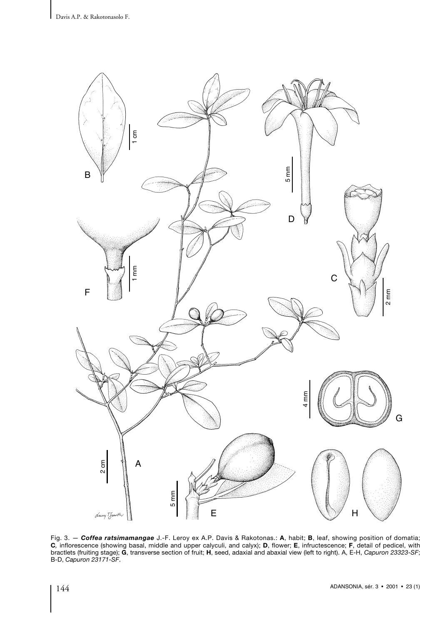

Fig. 3. — *Coffea ratsimamangae* J.-F. Leroy ex A.P. Davis & Rakotonas.: **A**, habit; **B**, leaf, showing position of domatia; **C***,* inflorescence (showing basal, middle and upper calyculi, and calyx); **D**, flower; **E**, infructescence; **F**, detail of pedicel, with bractlets (fruiting stage); **G**, transverse section of fruit; **H**, seed, adaxial and abaxial view (left to right). A, E-H, *Capuron 23323-SF*; B-D, *Capuron 23171-SF*.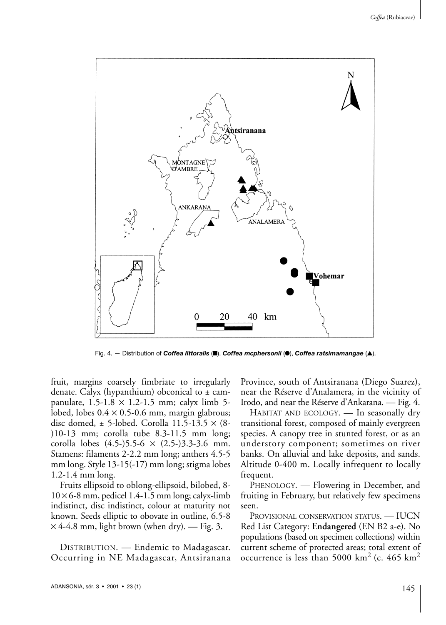

Fig. 4. — Distribution of *Coffea littoralis* (■), *Coffea mcphersonii* (●), *Coffea ratsimamangae* (▲).

fruit, margins coarsely fimbriate to irregularly denate. Calyx (hypanthium) obconical to  $\pm$  campanulate,  $1.5-1.8 \times 1.2-1.5$  mm; calyx limb 5lobed, lobes  $0.4 \times 0.5$ -0.6 mm, margin glabrous; disc domed,  $\pm$  5-lobed. Corolla 11.5-13.5  $\times$  (8-)10-13 mm; corolla tube 8.3-11.5 mm long; corolla lobes  $(4.5-)5.5-6 \times (2.5-)3.3-3.6$  mm. Stamens: filaments 2-2.2 mm long; anthers 4.5-5 mm long. Style 13-15(-17) mm long; stigma lobes 1.2-1.4 mm long.

Fruits ellipsoid to oblong-ellipsoid, bilobed, 8-  $10 \times 6$ -8 mm, pedicel 1.4-1.5 mm long; calyx-limb indistinct, disc indistinct, colour at maturity not known. Seeds elliptic to obovate in outline, 6.5-8  $\times$  4-4.8 mm, light brown (when dry). — Fig. 3.

DISTRIBUTION. — Endemic to Madagascar. Occurring in NE Madagascar, Antsiranana Province, south of Antsiranana (Diego Suarez), near the Réserve d'Analamera, in the vicinity of Irodo, and near the Réserve d'Ankarana. — Fig. 4.

HABITAT AND ECOLOGY. — In seasonally dry transitional forest, composed of mainly evergreen species. A canopy tree in stunted forest, or as an understory component; sometimes on river banks. On alluvial and lake deposits, and sands. Altitude 0-400 m. Locally infrequent to locally frequent.

PHENOLOGY. — Flowering in December, and fruiting in February, but relatively few specimens seen.

PROVISIONAL CONSERVATION STATUS. — IUCN Red List Category: **Endangered** (EN B2 a-e). No populations (based on specimen collections) within current scheme of protected areas; total extent of occurrence is less than 5000 km<sup>2</sup> (c. 465 km<sup>2</sup>)